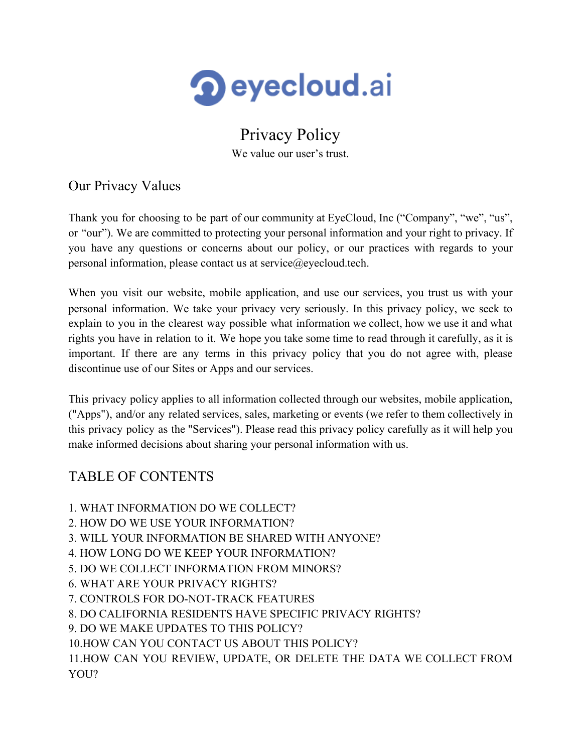

# Privacy Policy

We value our user's trust.

Our Privacy Values

Thank you for choosing to be part of our community at EyeCloud, Inc ("Company", "we", "us", or "our"). We are committed to protecting your personal information and your right to privacy. If you have any questions or concerns about our policy, or our practices with regards to your personal information, please contact us at service@eyecloud.tech.

When you visit our website, mobile application, and use our services, you trust us with your personal information. We take your privacy very seriously. In this privacy policy, we seek to explain to you in the clearest way possible what information we collect, how we use it and what rights you have in relation to it. We hope you take some time to read through it carefully, as it is important. If there are any terms in this privacy policy that you do not agree with, please discontinue use of our Sites or Apps and our services.

This privacy policy applies to all information collected through our websites, mobile application, ("Apps"), and/or any related services, sales, marketing or events (we refer to them collectively in this privacy policy as the "Services"). Please read this privacy policy carefully as it will help you make informed decisions about sharing your personal information with us.

# TABLE OF CONTENTS

- 1. WHAT INFORMATION DO WE COLLECT?
- 2. HOW DO WE USE YOUR INFORMATION?
- 3. WILL YOUR INFORMATION BE SHARED WITH ANYONE?
- 4. HOW LONG DO WE KEEP YOUR INFORMATION?
- 5. DO WE COLLECT INFORMATION FROM MINORS?
- 6. WHAT ARE YOUR PRIVACY RIGHTS?
- 7. CONTROLS FOR DO-NOT-TRACK FEATURES
- 8. DO CALIFORNIA RESIDENTS HAVE SPECIFIC PRIVACY RIGHTS?
- 9. DO WE MAKE UPDATES TO THIS POLICY?
- 10.HOW CAN YOU CONTACT US ABOUT THIS POLICY?

11.HOW CAN YOU REVIEW, UPDATE, OR DELETE THE DATA WE COLLECT FROM YOU?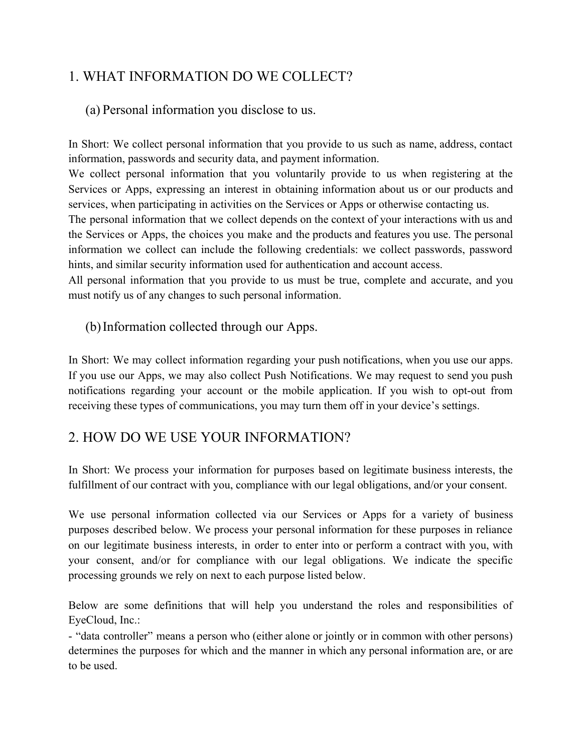# 1. WHAT INFORMATION DO WE COLLECT?

#### (a) Personal information you disclose to us.

In Short: We collect personal information that you provide to us such as name, address, contact information, passwords and security data, and payment information.

We collect personal information that you voluntarily provide to us when registering at the Services or Apps, expressing an interest in obtaining information about us or our products and services, when participating in activities on the Services or Apps or otherwise contacting us.

The personal information that we collect depends on the context of your interactions with us and the Services or Apps, the choices you make and the products and features you use. The personal information we collect can include the following credentials: we collect passwords, password hints, and similar security information used for authentication and account access.

All personal information that you provide to us must be true, complete and accurate, and you must notify us of any changes to such personal information.

#### (b)Information collected through our Apps.

In Short: We may collect information regarding your push notifications, when you use our apps. If you use our Apps, we may also collect Push Notifications. We may request to send you push notifications regarding your account or the mobile application. If you wish to opt-out from receiving these types of communications, you may turn them off in your device's settings.

#### 2. HOW DO WE USE YOUR INFORMATION?

In Short: We process your information for purposes based on legitimate business interests, the fulfillment of our contract with you, compliance with our legal obligations, and/or your consent.

We use personal information collected via our Services or Apps for a variety of business purposes described below. We process your personal information for these purposes in reliance on our legitimate business interests, in order to enter into or perform a contract with you, with your consent, and/or for compliance with our legal obligations. We indicate the specific processing grounds we rely on next to each purpose listed below.

Below are some definitions that will help you understand the roles and responsibilities of EyeCloud, Inc.:

- "data controller" means a person who (either alone or jointly or in common with other persons) determines the purposes for which and the manner in which any personal information are, or are to be used.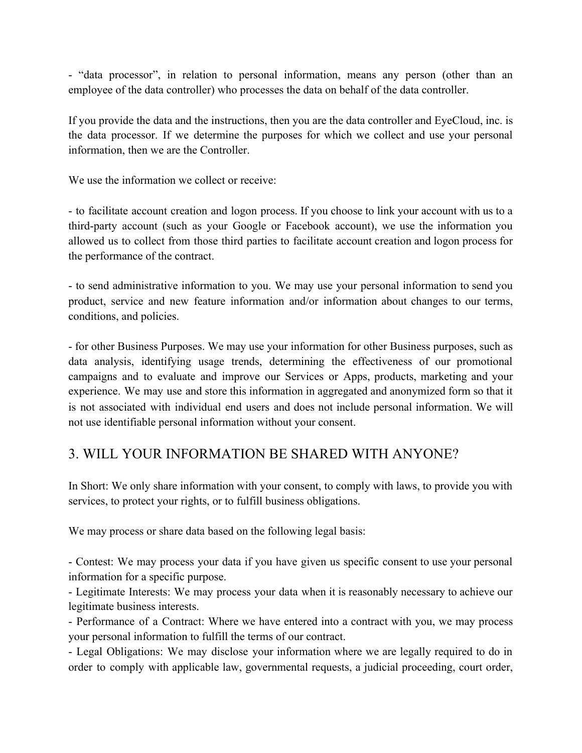- "data processor", in relation to personal information, means any person (other than an employee of the data controller) who processes the data on behalf of the data controller.

If you provide the data and the instructions, then you are the data controller and EyeCloud, inc. is the data processor. If we determine the purposes for which we collect and use your personal information, then we are the Controller.

We use the information we collect or receive:

- to facilitate account creation and logon process. If you choose to link your account with us to a third-party account (such as your Google or Facebook account), we use the information you allowed us to collect from those third parties to facilitate account creation and logon process for the performance of the contract.

- to send administrative information to you. We may use your personal information to send you product, service and new feature information and/or information about changes to our terms, conditions, and policies.

- for other Business Purposes. We may use your information for other Business purposes, such as data analysis, identifying usage trends, determining the effectiveness of our promotional campaigns and to evaluate and improve our Services or Apps, products, marketing and your experience. We may use and store this information in aggregated and anonymized form so that it is not associated with individual end users and does not include personal information. We will not use identifiable personal information without your consent.

#### 3. WILL YOUR INFORMATION BE SHARED WITH ANYONE?

In Short: We only share information with your consent, to comply with laws, to provide you with services, to protect your rights, or to fulfill business obligations.

We may process or share data based on the following legal basis:

- Contest: We may process your data if you have given us specific consent to use your personal information for a specific purpose.

- Legitimate Interests: We may process your data when it is reasonably necessary to achieve our legitimate business interests.

- Performance of a Contract: Where we have entered into a contract with you, we may process your personal information to fulfill the terms of our contract.

- Legal Obligations: We may disclose your information where we are legally required to do in order to comply with applicable law, governmental requests, a judicial proceeding, court order,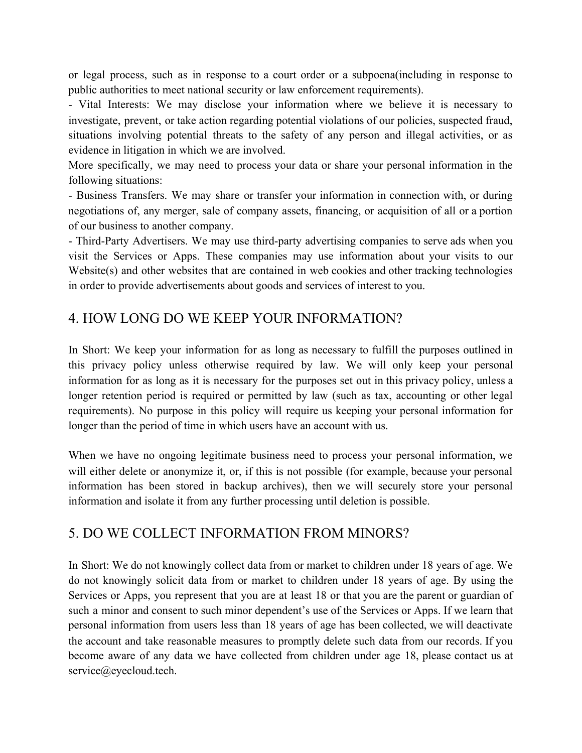or legal process, such as in response to a court order or a subpoena(including in response to public authorities to meet national security or law enforcement requirements).

- Vital Interests: We may disclose your information where we believe it is necessary to investigate, prevent, or take action regarding potential violations of our policies, suspected fraud, situations involving potential threats to the safety of any person and illegal activities, or as evidence in litigation in which we are involved.

More specifically, we may need to process your data or share your personal information in the following situations:

- Business Transfers. We may share or transfer your information in connection with, or during negotiations of, any merger, sale of company assets, financing, or acquisition of all or a portion of our business to another company.

- Third-Party Advertisers. We may use third-party advertising companies to serve ads when you visit the Services or Apps. These companies may use information about your visits to our Website(s) and other websites that are contained in web cookies and other tracking technologies in order to provide advertisements about goods and services of interest to you.

#### 4. HOW LONG DO WE KEEP YOUR INFORMATION?

In Short: We keep your information for as long as necessary to fulfill the purposes outlined in this privacy policy unless otherwise required by law. We will only keep your personal information for as long as it is necessary for the purposes set out in this privacy policy, unless a longer retention period is required or permitted by law (such as tax, accounting or other legal requirements). No purpose in this policy will require us keeping your personal information for longer than the period of time in which users have an account with us.

When we have no ongoing legitimate business need to process your personal information, we will either delete or anonymize it, or, if this is not possible (for example, because your personal information has been stored in backup archives), then we will securely store your personal information and isolate it from any further processing until deletion is possible.

#### 5. DO WE COLLECT INFORMATION FROM MINORS?

In Short: We do not knowingly collect data from or market to children under 18 years of age. We do not knowingly solicit data from or market to children under 18 years of age. By using the Services or Apps, you represent that you are at least 18 or that you are the parent or guardian of such a minor and consent to such minor dependent's use of the Services or Apps. If we learn that personal information from users less than 18 years of age has been collected, we will deactivate the account and take reasonable measures to promptly delete such data from our records. If you become aware of any data we have collected from children under age 18, please contact us at service@eyecloud.tech.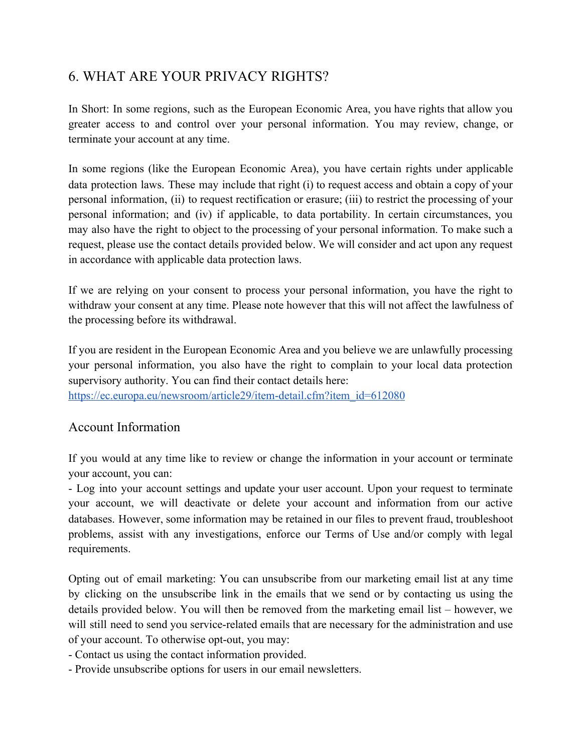#### 6. WHAT ARE YOUR PRIVACY RIGHTS?

In Short: In some regions, such as the European Economic Area, you have rights that allow you greater access to and control over your personal information. You may review, change, or terminate your account at any time.

In some regions (like the European Economic Area), you have certain rights under applicable data protection laws. These may include that right (i) to request access and obtain a copy of your personal information, (ii) to request rectification or erasure; (iii) to restrict the processing of your personal information; and (iv) if applicable, to data portability. In certain circumstances, you may also have the right to object to the processing of your personal information. To make such a request, please use the contact details provided below. We will consider and act upon any request in accordance with applicable data protection laws.

If we are relying on your consent to process your personal information, you have the right to withdraw your consent at any time. Please note however that this will not affect the lawfulness of the processing before its withdrawal.

If you are resident in the European Economic Area and you believe we are unlawfully processing your personal information, you also have the right to complain to your local data protection supervisory authority. You can find their contact details here: [https://ec.europa.eu/newsroom/article29/item-detail.cfm?item\\_id=612080](https://ec.europa.eu/newsroom/article29/item-detail.cfm?item_id=612080)

#### Account Information

If you would at any time like to review or change the information in your account or terminate your account, you can:

- Log into your account settings and update your user account. Upon your request to terminate your account, we will deactivate or delete your account and information from our active databases. However, some information may be retained in our files to prevent fraud, troubleshoot problems, assist with any investigations, enforce our Terms of Use and/or comply with legal requirements.

Opting out of email marketing: You can unsubscribe from our marketing email list at any time by clicking on the unsubscribe link in the emails that we send or by contacting us using the details provided below. You will then be removed from the marketing email list – however, we will still need to send you service-related emails that are necessary for the administration and use of your account. To otherwise opt-out, you may:

- Contact us using the contact information provided.

- Provide unsubscribe options for users in our email newsletters.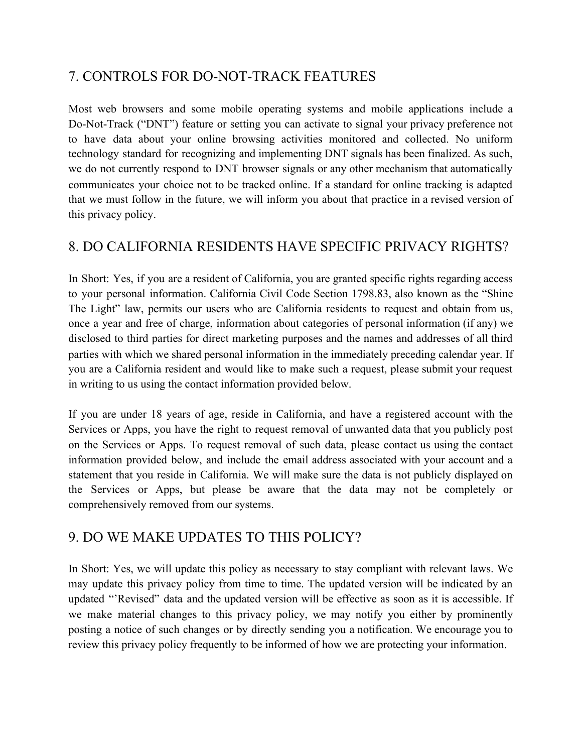# 7. CONTROLS FOR DO-NOT-TRACK FEATURES

Most web browsers and some mobile operating systems and mobile applications include a Do-Not-Track ("DNT") feature or setting you can activate to signal your privacy preference not to have data about your online browsing activities monitored and collected. No uniform technology standard for recognizing and implementing DNT signals has been finalized. As such, we do not currently respond to DNT browser signals or any other mechanism that automatically communicates your choice not to be tracked online. If a standard for online tracking is adapted that we must follow in the future, we will inform you about that practice in a revised version of this privacy policy.

#### 8. DO CALIFORNIA RESIDENTS HAVE SPECIFIC PRIVACY RIGHTS?

In Short: Yes, if you are a resident of California, you are granted specific rights regarding access to your personal information. California Civil Code Section 1798.83, also known as the "Shine The Light" law, permits our users who are California residents to request and obtain from us, once a year and free of charge, information about categories of personal information (if any) we disclosed to third parties for direct marketing purposes and the names and addresses of all third parties with which we shared personal information in the immediately preceding calendar year. If you are a California resident and would like to make such a request, please submit your request in writing to us using the contact information provided below.

If you are under 18 years of age, reside in California, and have a registered account with the Services or Apps, you have the right to request removal of unwanted data that you publicly post on the Services or Apps. To request removal of such data, please contact us using the contact information provided below, and include the email address associated with your account and a statement that you reside in California. We will make sure the data is not publicly displayed on the Services or Apps, but please be aware that the data may not be completely or comprehensively removed from our systems.

#### 9. DO WE MAKE UPDATES TO THIS POLICY?

In Short: Yes, we will update this policy as necessary to stay compliant with relevant laws. We may update this privacy policy from time to time. The updated version will be indicated by an updated "'Revised" data and the updated version will be effective as soon as it is accessible. If we make material changes to this privacy policy, we may notify you either by prominently posting a notice of such changes or by directly sending you a notification. We encourage you to review this privacy policy frequently to be informed of how we are protecting your information.